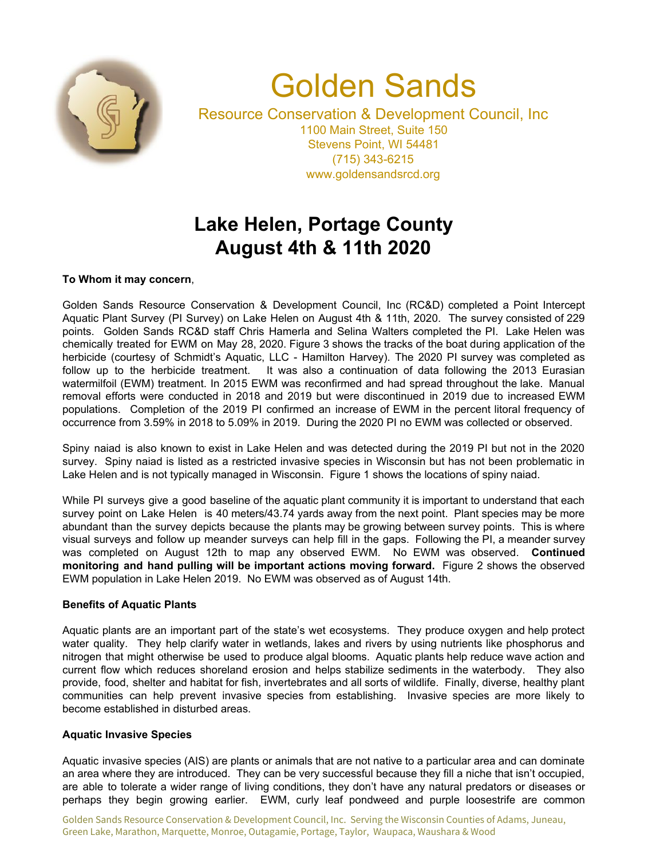

# Golden Sands

Resource Conservation & Development Council, Inc 1100 Main Street, Suite 150 Stevens Point, WI 54481 (715) 343-6215 www.goldensandsrcd.org

## **Lake Helen, Portage County August 4th & 11th 2020**

### **To Whom it may concern**,

Golden Sands Resource Conservation & Development Council, Inc (RC&D) completed a Point Intercept Aquatic Plant Survey (PI Survey) on Lake Helen on August 4th & 11th, 2020. The survey consisted of 229 points. Golden Sands RC&D staff Chris Hamerla and Selina Walters completed the PI. Lake Helen was chemically treated for EWM on May 28, 2020. Figure 3 shows the tracks of the boat during application of the herbicide (courtesy of Schmidt's Aquatic, LLC - Hamilton Harvey). The 2020 PI survey was completed as follow up to the herbicide treatment. It was also a continuation of data following the 2013 Eurasian watermilfoil (EWM) treatment. In 2015 EWM was reconfirmed and had spread throughout the lake. Manual removal efforts were conducted in 2018 and 2019 but were discontinued in 2019 due to increased EWM populations. Completion of the 2019 PI confirmed an increase of EWM in the percent litoral frequency of occurrence from 3.59% in 2018 to 5.09% in 2019. During the 2020 PI no EWM was collected or observed.

Spiny naiad is also known to exist in Lake Helen and was detected during the 2019 PI but not in the 2020 survey. Spiny naiad is listed as a restricted invasive species in Wisconsin but has not been problematic in Lake Helen and is not typically managed in Wisconsin. Figure 1 shows the locations of spiny naiad.

While PI surveys give a good baseline of the aquatic plant community it is important to understand that each survey point on Lake Helen is 40 meters/43.74 yards away from the next point. Plant species may be more abundant than the survey depicts because the plants may be growing between survey points. This is where visual surveys and follow up meander surveys can help fill in the gaps. Following the PI, a meander survey was completed on August 12th to map any observed EWM. No EWM was observed. **Continued monitoring and hand pulling will be important actions moving forward.** Figure 2 shows the observed EWM population in Lake Helen 2019. No EWM was observed as of August 14th.

#### **Benefits of Aquatic Plants**

Aquatic plants are an important part of the state's wet ecosystems. They produce oxygen and help protect water quality. They help clarify water in wetlands, lakes and rivers by using nutrients like phosphorus and nitrogen that might otherwise be used to produce algal blooms. Aquatic plants help reduce wave action and current flow which reduces shoreland erosion and helps stabilize sediments in the waterbody. They also provide, food, shelter and habitat for fish, invertebrates and all sorts of wildlife. Finally, diverse, healthy plant communities can help prevent invasive species from establishing. Invasive species are more likely to become established in disturbed areas.

#### **Aquatic Invasive Species**

Aquatic invasive species (AIS) are plants or animals that are not native to a particular area and can dominate an area where they are introduced. They can be very successful because they fill a niche that isn't occupied, are able to tolerate a wider range of living conditions, they don't have any natural predators or diseases or perhaps they begin growing earlier. EWM, curly leaf pondweed and purple loosestrife are common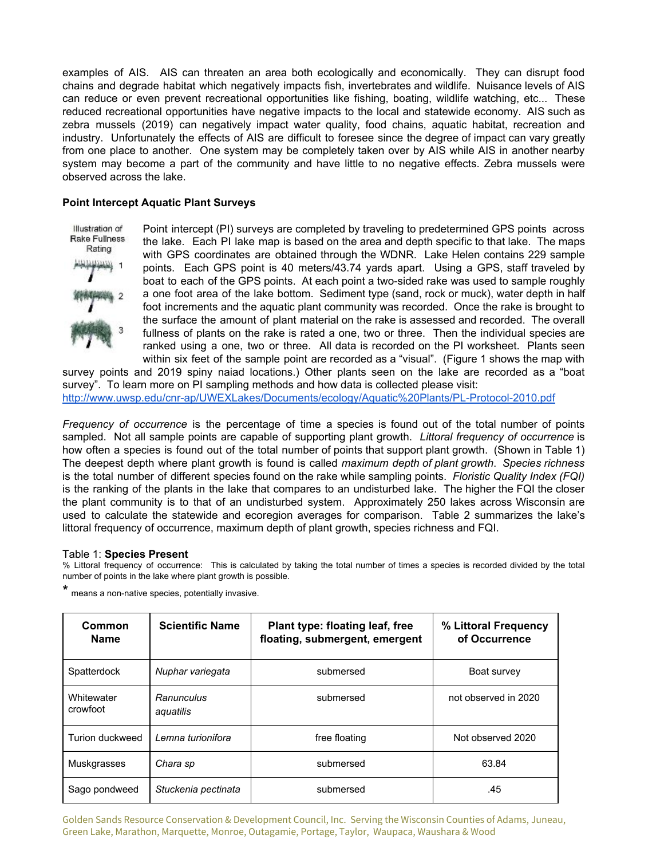examples of AIS. AIS can threaten an area both ecologically and economically. They can disrupt food chains and degrade habitat which negatively impacts fish, invertebrates and wildlife. Nuisance levels of AIS can reduce or even prevent recreational opportunities like fishing, boating, wildlife watching, etc... These reduced recreational opportunities have negative impacts to the local and statewide economy. AIS such as zebra mussels (2019) can negatively impact water quality, food chains, aquatic habitat, recreation and industry. Unfortunately the effects of AIS are difficult to foresee since the degree of impact can vary greatly from one place to another. One system may be completely taken over by AIS while AIS in another nearby system may become a part of the community and have little to no negative effects. Zebra mussels were observed across the lake.

#### **Point Intercept Aquatic Plant Surveys**

Illustration of Rake Fullness Rating

Point intercept (PI) surveys are completed by traveling to predetermined GPS points across the lake. Each PI lake map is based on the area and depth specific to that lake. The maps with GPS coordinates are obtained through the WDNR. Lake Helen contains 229 sample points. Each GPS point is 40 meters/43.74 yards apart. Using a GPS, staff traveled by boat to each of the GPS points. At each point a two-sided rake was used to sample roughly a one foot area of the lake bottom. Sediment type (sand, rock or muck), water depth in half foot increments and the aquatic plant community was recorded. Once the rake is brought to the surface the amount of plant material on the rake is assessed and recorded. The overall fullness of plants on the rake is rated a one, two or three. Then the individual species are ranked using a one, two or three. All data is recorded on the PI worksheet. Plants seen within six feet of the sample point are recorded as a "visual". (Figure 1 shows the map with

survey points and 2019 spiny naiad locations.) Other plants seen on the lake are recorded as a "boat survey". To learn more on PI sampling methods and how data is collected please visit: <http://www.uwsp.edu/cnr-ap/UWEXLakes/Documents/ecology/Aquatic%20Plants/PL-Protocol-2010.pdf>

*Frequency of occurrence* is the percentage of time a species is found out of the total number of points sampled. Not all sample points are capable of supporting plant growth. *Littoral frequency of occurrence* is how often a species is found out of the total number of points that support plant growth. (Shown in Table 1) The deepest depth where plant growth is found is called *maximum depth of plant growth*. *Species richness* is the total number of different species found on the rake while sampling points. *Floristic Quality Index (FQI)* is the ranking of the plants in the lake that compares to an undisturbed lake. The higher the FQI the closer the plant community is to that of an undisturbed system. Approximately 250 lakes across Wisconsin are used to calculate the statewide and ecoregion averages for comparison. Table 2 summarizes the lake's littoral frequency of occurrence, maximum depth of plant growth, species richness and FQI.

#### Table 1: **Species Present**

% Littoral frequency of occurrence: This is calculated by taking the total number of times a species is recorded divided by the total number of points in the lake where plant growth is possible.

\* means <sup>a</sup> non-native species, potentially invasive.

| Common<br><b>Name</b>  | <b>Scientific Name</b>  | Plant type: floating leaf, free<br>floating, submergent, emergent | % Littoral Frequency<br>of Occurrence |
|------------------------|-------------------------|-------------------------------------------------------------------|---------------------------------------|
| Spatterdock            | Nuphar variegata        | submersed                                                         | Boat survey                           |
| Whitewater<br>crowfoot | Ranunculus<br>aquatilis | submersed                                                         | not observed in 2020                  |
| Turion duckweed        | Lemna turionifora       | free floating                                                     | Not observed 2020                     |
| Muskgrasses            | Chara sp                | submersed                                                         | 63.84                                 |
| Sago pondweed          | Stuckenia pectinata     | submersed                                                         | .45                                   |

Golden Sands Resource Conservation & Development Council, Inc. Serving the Wisconsin Counties of Adams, Juneau, Green Lake, Marathon, Marquette, Monroe, Outagamie, Portage, Taylor, Waupaca, Waushara & Wood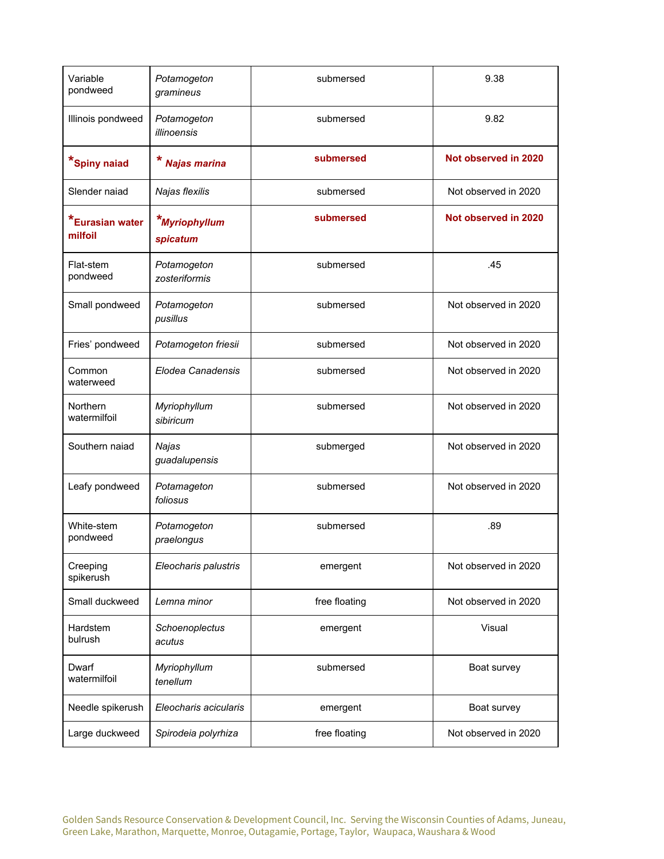| Variable<br>pondweed       | Potamogeton<br>gramineus     | submersed     | 9.38                 |
|----------------------------|------------------------------|---------------|----------------------|
| Illinois pondweed          | Potamogeton<br>illinoensis   | submersed     | 9.82                 |
| *Spiny naiad               | Najas marina                 | submersed     | Not observed in 2020 |
| Slender naiad              | Najas flexilis               | submersed     | Not observed in 2020 |
| *Eurasian water<br>milfoil | *Myriophyllum<br>spicatum    | submersed     | Not observed in 2020 |
| Flat-stem<br>pondweed      | Potamogeton<br>zosteriformis | submersed     | .45                  |
| Small pondweed             | Potamogeton<br>pusillus      | submersed     | Not observed in 2020 |
| Fries' pondweed            | Potamogeton friesii          | submersed     | Not observed in 2020 |
| Common<br>waterweed        | Elodea Canadensis            | submersed     | Not observed in 2020 |
| Northern<br>watermilfoil   | Myriophyllum<br>sibiricum    | submersed     | Not observed in 2020 |
| Southern naiad             | Najas<br>guadalupensis       | submerged     | Not observed in 2020 |
| Leafy pondweed             | Potamageton<br>foliosus      | submersed     | Not observed in 2020 |
| White-stem<br>pondweed     | Potamogeton<br>praelongus    | submersed     | .89                  |
| Creeping<br>spikerush      | Eleocharis palustris         | emergent      | Not observed in 2020 |
| Small duckweed             | Lemna minor                  | free floating | Not observed in 2020 |
| Hardstem<br>bulrush        | Schoenoplectus<br>acutus     | emergent      | Visual               |
| Dwarf<br>watermilfoil      | Myriophyllum<br>tenellum     | submersed     | Boat survey          |
| Needle spikerush           | Eleocharis acicularis        | emergent      | Boat survey          |
| Large duckweed             | Spirodeia polyrhiza          | free floating | Not observed in 2020 |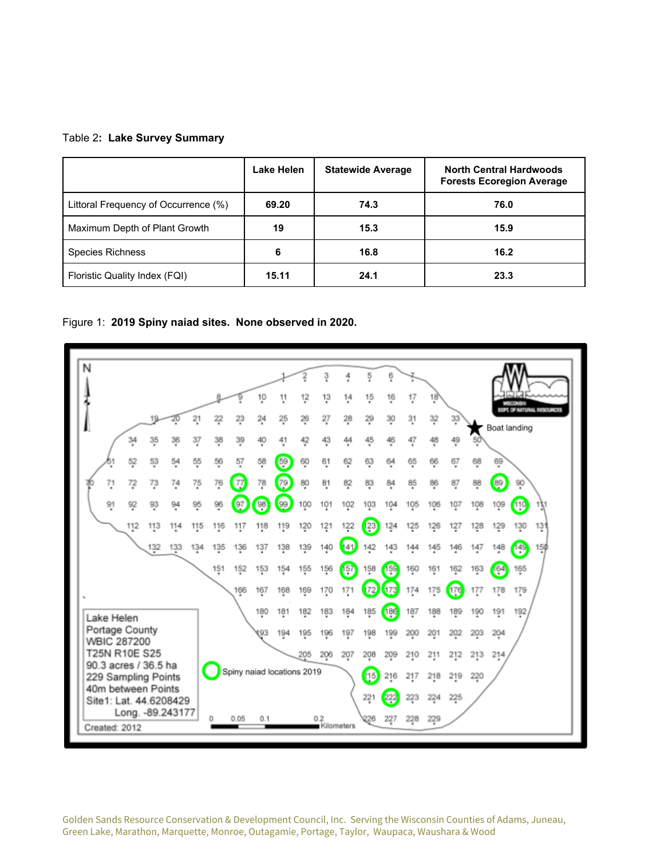#### Table 2**: Lake Survey Summary**

|                                      | Lake Helen | <b>Statewide Average</b> | <b>North Central Hardwoods</b><br><b>Forests Ecoregion Average</b> |
|--------------------------------------|------------|--------------------------|--------------------------------------------------------------------|
| Littoral Frequency of Occurrence (%) | 69.20      | 74.3                     | 76.0                                                               |
| Maximum Depth of Plant Growth        | 19         | 15.3                     | 15.9                                                               |
| <b>Species Richness</b>              | 6          | 16.8                     | 16.2                                                               |
| Floristic Quality Index (FQI)        | 15.11      | 24.1                     | 23.3                                                               |

Figure 1: **2019 Spiny naiad sites. None observed in 2020.**



Golden Sands Resource Conservation & Development Council, Inc. Serving the Wisconsin Counties of Adams, Juneau, Green Lake, Marathon, Marquette, Monroe, Outagamie, Portage, Taylor, Waupaca, Waushara & Wood